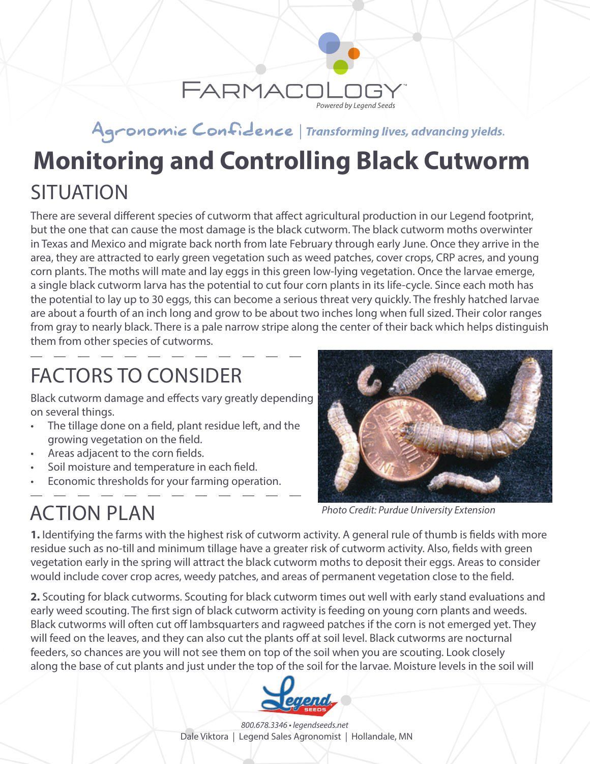

#### Agronomic Confidence | Transforming lives, advancing yields.

# **SITUATION Monitoring and Controlling Black Cutworm**

There are several different species of cutworm that affect agricultural production in our Legend footprint, but the one that can cause the most damage is the black cutworm. The black cutworm moths overwinter in Texas and Mexico and migrate back north from late February through early June. Once they arrive in the area, they are attracted to early green vegetation such as weed patches, cover crops, CRP acres, and young corn plants. The moths will mate and lay eggs in this green low-lying vegetation. Once the larvae emerge, a single black cutworm larva has the potential to cut four corn plants in its life-cycle. Since each moth has the potential to lay up to 30 eggs, this can become a serious threat very quickly. The freshly hatched larvae are about a fourth of an inch long and grow to be about two inches long when full sized. Their color ranges from gray to nearly black. There is a pale narrow stripe along the center of their back which helps distinguish them from other species of cutworms.

# FACTORS TO CONSIDER

Black cutworm damage and effects vary greatly depending on several things.

- The tillage done on a field, plant residue left, and the growing vegetation on the field.
- Areas adjacent to the corn fields.
- Soil moisture and temperature in each field.
- Economic thresholds for your farming operation.



*Photo Credit: Purdue University Extension*

ACTION PLAN

**1.** Identifying the farms with the highest risk of cutworm activity. A general rule of thumb is fields with more residue such as no-till and minimum tillage have a greater risk of cutworm activity. Also, fields with green vegetation early in the spring will attract the black cutworm moths to deposit their eggs. Areas to consider would include cover crop acres, weedy patches, and areas of permanent vegetation close to the field.

**2.** Scouting for black cutworms. Scouting for black cutworm times out well with early stand evaluations and early weed scouting. The first sign of black cutworm activity is feeding on young corn plants and weeds. Black cutworms will often cut off lambsquarters and ragweed patches if the corn is not emerged yet. They will feed on the leaves, and they can also cut the plants off at soil level. Black cutworms are nocturnal feeders, so chances are you will not see them on top of the soil when you are scouting. Look closely along the base of cut plants and just under the top of the soil for the larvae. Moisture levels in the soil will



*800.678.3346 • legendseeds.net* Dale Viktora | Legend Sales Agronomist | Hollandale, MN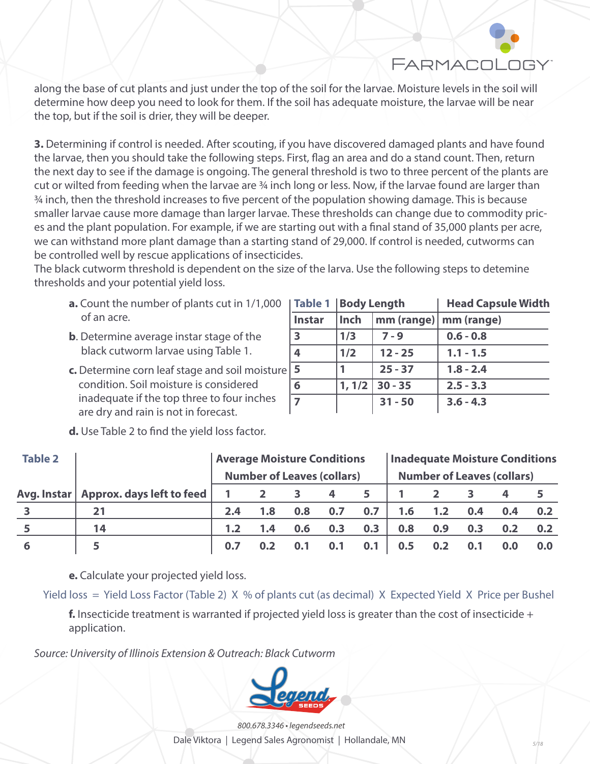FARMACOL

along the base of cut plants and just under the top of the soil for the larvae. Moisture levels in the soil will determine how deep you need to look for them. If the soil has adequate moisture, the larvae will be near the top, but if the soil is drier, they will be deeper.

**3.** Determining if control is needed. After scouting, if you have discovered damaged plants and have found the larvae, then you should take the following steps. First, flag an area and do a stand count. Then, return the next day to see if the damage is ongoing. The general threshold is two to three percent of the plants are cut or wilted from feeding when the larvae are ¾ inch long or less. Now, if the larvae found are larger than ¾ inch, then the threshold increases to five percent of the population showing damage. This is because smaller larvae cause more damage than larger larvae. These thresholds can change due to commodity prices and the plant population. For example, if we are starting out with a final stand of 35,000 plants per acre, we can withstand more plant damage than a starting stand of 29,000. If control is needed, cutworms can be controlled well by rescue applications of insecticides.

The black cutworm threshold is dependent on the size of the larva. Use the following steps to detemine thresholds and your potential yield loss.

- **a.** Count the number of plants cut in 1/1,000 of an acre.
- **b**. Determine average instar stage of the black cutworm larvae using Table 1.
- **c.** Determine corn leaf stage and soil moisture condition. Soil moisture is considered inadequate if the top three to four inches are dry and rain is not in forecast.

|      |           | <b>Head Capsule Width</b>                   |  |  |  |  |
|------|-----------|---------------------------------------------|--|--|--|--|
| Inch |           | mm (range)   mm (range)                     |  |  |  |  |
| 1/3  | $7 - 9$   | $0.6 - 0.8$                                 |  |  |  |  |
| 1/2  | $12 - 25$ | $1.1 - 1.5$                                 |  |  |  |  |
|      | $25 - 37$ | $1.8 - 2.4$                                 |  |  |  |  |
|      |           | $2.5 - 3.3$                                 |  |  |  |  |
|      | $31 - 50$ | $3.6 - 4.3$                                 |  |  |  |  |
|      |           | Table 1   Body Length<br>$1, 1/2$   30 - 35 |  |  |  |  |

|  |  |  |  |  |  |  |  | <b>d.</b> Use Table 2 to find the yield loss factor. |
|--|--|--|--|--|--|--|--|------------------------------------------------------|
|--|--|--|--|--|--|--|--|------------------------------------------------------|

| <b>Table 2</b> |                                         | <b>Average Moisture Conditions</b><br><b>Number of Leaves (collars)</b> |     |     |     | <b>Inadequate Moisture Conditions</b> |     |     |     |     |     |
|----------------|-----------------------------------------|-------------------------------------------------------------------------|-----|-----|-----|---------------------------------------|-----|-----|-----|-----|-----|
|                |                                         |                                                                         |     |     |     | <b>Number of Leaves (collars)</b>     |     |     |     |     |     |
|                | Avg. Instar   Approx. days left to feed |                                                                         |     |     | 4   | 5                                     |     |     |     |     |     |
|                | 21                                      | 2.4                                                                     | 1.8 | 0.8 | 0.7 | 0.7                                   | 1.6 | 1.2 | 0.4 | 0.4 | 0.2 |
|                | 14                                      | 1.2                                                                     | 1.4 | 0.6 | 0.3 | 0.3                                   | 0.8 | 0.9 | 0.3 | 0.2 | 0.2 |
|                | 5                                       | 0.7                                                                     |     |     | 0.1 | 0.1                                   | 0.5 | 0.2 | 0.1 | 0.0 | 0.0 |

**e.** Calculate your projected yield loss.

Yield loss = Yield Loss Factor (Table 2) X % of plants cut (as decimal) X Expected Yield X Price per Bushel

**f.** Insecticide treatment is warranted if projected yield loss is greater than the cost of insecticide + application.

*Source: University of Illinois Extension & Outreach: Black Cutworm*



*800.678.3346 • legendseeds.net*

Dale Viktora | Legend Sales Agronomist | Hollandale, MN *5/18*